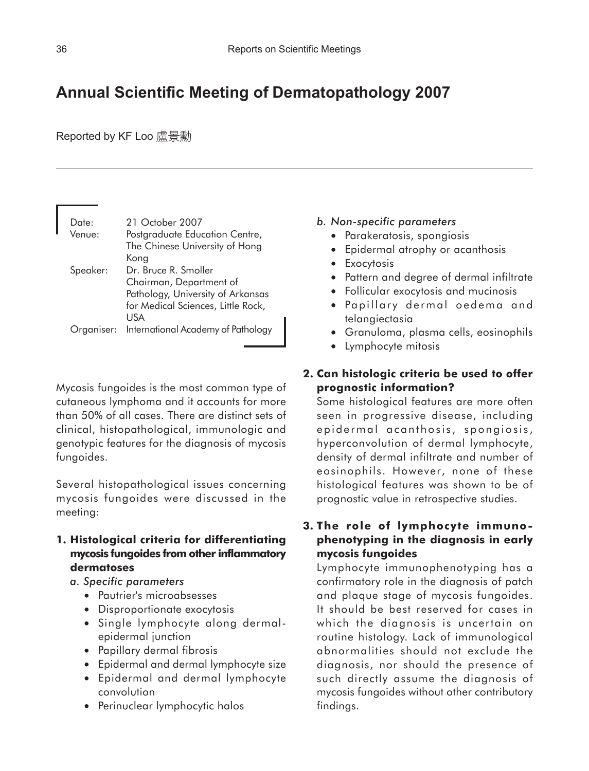# **Annual Scientific Meeting of Dermatopathology 2007**

Reported by KF Loo 盧景勳

| Date:    | 21 October 2007                               |
|----------|-----------------------------------------------|
| Venue:   | Postgraduate Education Centre,                |
|          | The Chinese University of Hong                |
|          | Kong                                          |
| Speaker: | Dr. Bruce R. Smoller                          |
|          | Chairman, Department of                       |
|          | Pathology, University of Arkansas             |
|          | for Medical Sciences, Little Rock,            |
|          | USA                                           |
|          | Organiser: International Academy of Pathology |

Mycosis fungoides is the most common type of cutaneous lymphoma and it accounts for more than 50% of all cases. There are distinct sets of clinical, histopathological, immunologic and genotypic features for the diagnosis of mycosis fungoides.

Several histopathological issues concerning mycosis fungoides were discussed in the meeting:

## **1. Histological criteria for differentiating mycosis fungoides from other inflammatory dermatoses**

- *a. Specific parameters*
	- Pautrier's microabsesses
	- Disproportionate exocytosis
	- Single lymphocyte along dermalepidermal junction
	- Papillary dermal fibrosis
	- Epidermal and dermal lymphocyte size
	- Epidermal and dermal lymphocyte convolution
	- Perinuclear lymphocytic halos

#### *b. Non-specific parameters*

- Parakeratosis, spongiosis
- Epidermal atrophy or acanthosis
- Exocytosis
- Pattern and degree of dermal infiltrate
- Follicular exocytosis and mucinosis
- Papillary dermal oedema and telangiectasia
- Granuloma, plasma cells, eosinophils
- Lymphocyte mitosis

## **2. Can histologic criteria be used to offer prognostic information?**

Some histological features are more often seen in progressive disease, including epidermal acanthosis, spongiosis, hyperconvolution of dermal lymphocyte, density of dermal infiltrate and number of eosinophils. However, none of these histological features was shown to be of prognostic value in retrospective studies.

**3. The role of lymphocyte immunophenotyping in the diagnosis in early mycosis fungoides**

Lymphocyte immunophenotyping has a confirmatory role in the diagnosis of patch and plaque stage of mycosis fungoides. It should be best reserved for cases in which the diagnosis is uncertain on routine histology. Lack of immunological abnormalities should not exclude the diagnosis, nor should the presence of such directly assume the diagnosis of mycosis fungoides without other contributory findings.